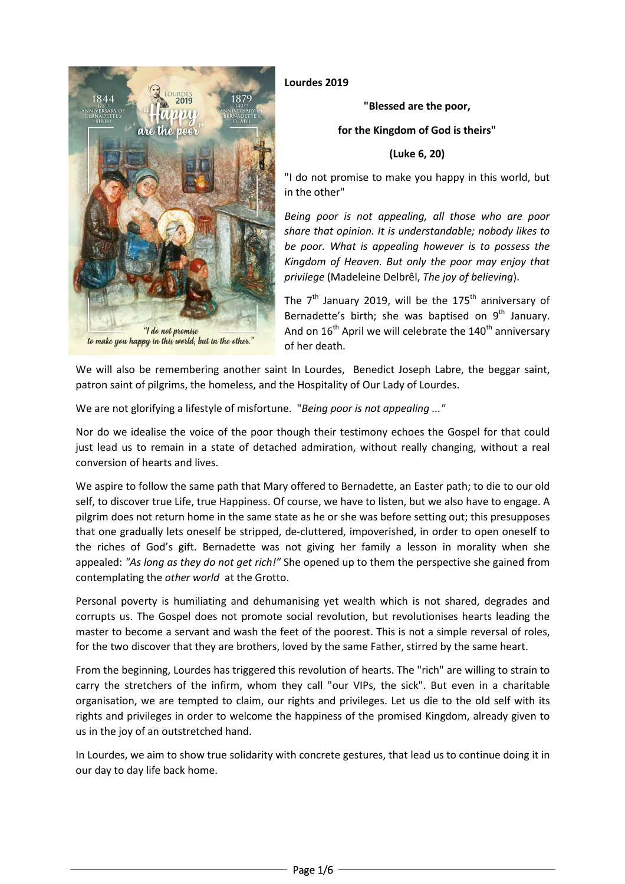

**Lourdes 2019** 

**"Blessed are the poor,** 

**for the Kingdom of God is theirs"** 

# **(Luke 6, 20)**

"I do not promise to make you happy in this world, but in the other"

*Being poor is not appealing, all those who are poor share that opinion. It is understandable; nobody likes to be poor. What is appealing however is to possess the Kingdom of Heaven. But only the poor may enjoy that privilege* (Madeleine Delbrêl, *The joy of believing*).

The  $7<sup>th</sup>$  January 2019, will be the 175<sup>th</sup> anniversary of Bernadette's birth; she was baptised on  $9<sup>th</sup>$  January. And on  $16<sup>th</sup>$  April we will celebrate the  $140<sup>th</sup>$  anniversary of her death.

We will also be remembering another saint In Lourdes, Benedict Joseph Labre, the beggar saint, patron saint of pilgrims, the homeless, and the Hospitality of Our Lady of Lourdes.

We are not glorifying a lifestyle of misfortune. "*Being poor is not appealing ..."*

Nor do we idealise the voice of the poor though their testimony echoes the Gospel for that could just lead us to remain in a state of detached admiration, without really changing, without a real conversion of hearts and lives.

We aspire to follow the same path that Mary offered to Bernadette, an Easter path; to die to our old self, to discover true Life, true Happiness. Of course, we have to listen, but we also have to engage. A pilgrim does not return home in the same state as he or she was before setting out; this presupposes that one gradually lets oneself be stripped, de-cluttered, impoverished, in order to open oneself to the riches of God's gift. Bernadette was not giving her family a lesson in morality when she appealed: *"As long as they do not get rich!"* She opened up to them the perspective she gained from contemplating the *other world* at the Grotto.

Personal poverty is humiliating and dehumanising yet wealth which is not shared, degrades and corrupts us. The Gospel does not promote social revolution, but revolutionises hearts leading the master to become a servant and wash the feet of the poorest. This is not a simple reversal of roles, for the two discover that they are brothers, loved by the same Father, stirred by the same heart.

From the beginning, Lourdes has triggered this revolution of hearts. The "rich" are willing to strain to carry the stretchers of the infirm, whom they call "our VIPs, the sick". But even in a charitable organisation, we are tempted to claim, our rights and privileges. Let us die to the old self with its rights and privileges in order to welcome the happiness of the promised Kingdom, already given to us in the joy of an outstretched hand.

In Lourdes, we aim to show true solidarity with concrete gestures, that lead us to continue doing it in our day to day life back home.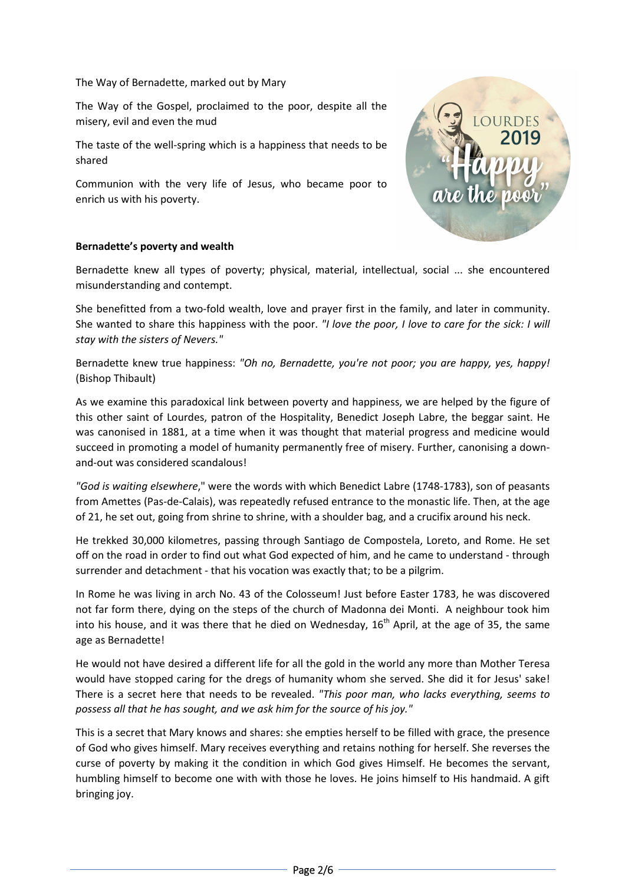The Way of Bernadette, marked out by Mary

The Way of the Gospel, proclaimed to the poor, despite all the misery, evil and even the mud

The taste of the well-spring which is a happiness that needs to be shared

Communion with the very life of Jesus, who became poor to enrich us with his poverty.



# **Bernadette's poverty and wealth**

Bernadette knew all types of poverty; physical, material, intellectual, social ... she encountered misunderstanding and contempt.

She benefitted from a two-fold wealth, love and prayer first in the family, and later in community. She wanted to share this happiness with the poor. *"I love the poor, I love to care for the sick: I will stay with the sisters of Nevers."*

Bernadette knew true happiness: *"Oh no, Bernadette, you're not poor; you are happy, yes, happy!* (Bishop Thibault)

As we examine this paradoxical link between poverty and happiness, we are helped by the figure of this other saint of Lourdes, patron of the Hospitality, Benedict Joseph Labre, the beggar saint. He was canonised in 1881, at a time when it was thought that material progress and medicine would succeed in promoting a model of humanity permanently free of misery. Further, canonising a downand-out was considered scandalous!

*"God is waiting elsewhere*," were the words with which Benedict Labre (1748-1783), son of peasants from Amettes (Pas-de-Calais), was repeatedly refused entrance to the monastic life. Then, at the age of 21, he set out, going from shrine to shrine, with a shoulder bag, and a crucifix around his neck.

He trekked 30,000 kilometres, passing through Santiago de Compostela, Loreto, and Rome. He set off on the road in order to find out what God expected of him, and he came to understand - through surrender and detachment - that his vocation was exactly that; to be a pilgrim.

In Rome he was living in arch No. 43 of the Colosseum! Just before Easter 1783, he was discovered not far form there, dying on the steps of the church of Madonna dei Monti. A neighbour took him into his house, and it was there that he died on Wednesday,  $16<sup>th</sup>$  April, at the age of 35, the same age as Bernadette!

He would not have desired a different life for all the gold in the world any more than Mother Teresa would have stopped caring for the dregs of humanity whom she served. She did it for Jesus' sake! There is a secret here that needs to be revealed. *"This poor man, who lacks everything, seems to possess all that he has sought, and we ask him for the source of his joy."*

This is a secret that Mary knows and shares: she empties herself to be filled with grace, the presence of God who gives himself. Mary receives everything and retains nothing for herself. She reverses the curse of poverty by making it the condition in which God gives Himself. He becomes the servant, humbling himself to become one with with those he loves. He joins himself to His handmaid. A gift bringing joy.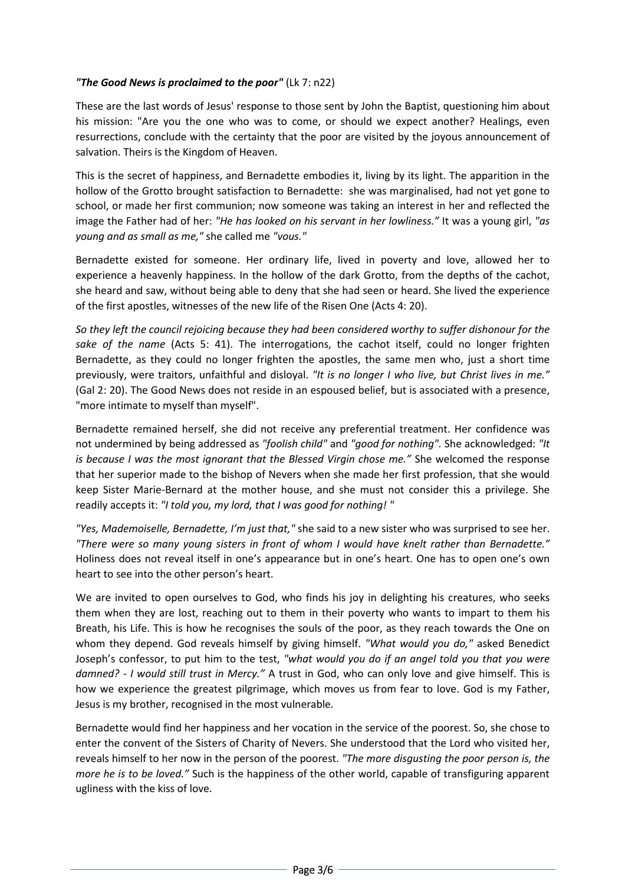# *"The Good News is proclaimed to the poor"* (Lk 7: n22)

These are the last words of Jesus' response to those sent by John the Baptist, questioning him about his mission: "Are you the one who was to come, or should we expect another? Healings, even resurrections, conclude with the certainty that the poor are visited by the joyous announcement of salvation. Theirs is the Kingdom of Heaven.

This is the secret of happiness, and Bernadette embodies it, living by its light. The apparition in the hollow of the Grotto brought satisfaction to Bernadette: she was marginalised, had not yet gone to school, or made her first communion; now someone was taking an interest in her and reflected the image the Father had of her: *"He has looked on his servant in her lowliness."* It was a young girl, *"as young and as small as me,"* she called me *"vous."*

Bernadette existed for someone. Her ordinary life, lived in poverty and love, allowed her to experience a heavenly happiness. In the hollow of the dark Grotto, from the depths of the cachot, she heard and saw, without being able to deny that she had seen or heard. She lived the experience of the first apostles, witnesses of the new life of the Risen One (Acts 4: 20).

*So they left the council rejoicing because they had been considered worthy to suffer dishonour for the sake of the name* (Acts 5: 41). The interrogations, the cachot itself, could no longer frighten Bernadette, as they could no longer frighten the apostles, the same men who, just a short time previously, were traitors, unfaithful and disloyal. *"It is no longer I who live, but Christ lives in me."* (Gal 2: 20). The Good News does not reside in an espoused belief, but is associated with a presence, "more intimate to myself than myself".

Bernadette remained herself, she did not receive any preferential treatment. Her confidence was not undermined by being addressed as *"foolish child"* and *"good for nothing".* She acknowledged: *"It is because I was the most ignorant that the Blessed Virgin chose me."* She welcomed the response that her superior made to the bishop of Nevers when she made her first profession, that she would keep Sister Marie-Bernard at the mother house, and she must not consider this a privilege. She readily accepts it: *"I told you, my lord, that I was good for nothing! "*

*"Yes, Mademoiselle, Bernadette, I'm just that,"* she said to a new sister who was surprised to see her. *"There were so many young sisters in front of whom I would have knelt rather than Bernadette."* Holiness does not reveal itself in one's appearance but in one's heart. One has to open one's own heart to see into the other person's heart.

We are invited to open ourselves to God, who finds his joy in delighting his creatures, who seeks them when they are lost, reaching out to them in their poverty who wants to impart to them his Breath, his Life. This is how he recognises the souls of the poor, as they reach towards the One on whom they depend. God reveals himself by giving himself. *"What would you do,"* asked Benedict Joseph's confessor, to put him to the test, *"what would you do if an angel told you that you were damned? - I would still trust in Mercy."* A trust in God, who can only love and give himself. This is how we experience the greatest pilgrimage, which moves us from fear to love. God is my Father, Jesus is my brother, recognised in the most vulnerable.

Bernadette would find her happiness and her vocation in the service of the poorest. So, she chose to enter the convent of the Sisters of Charity of Nevers. She understood that the Lord who visited her, reveals himself to her now in the person of the poorest. *"The more disgusting the poor person is, the more he is to be loved."* Such is the happiness of the other world, capable of transfiguring apparent ugliness with the kiss of love.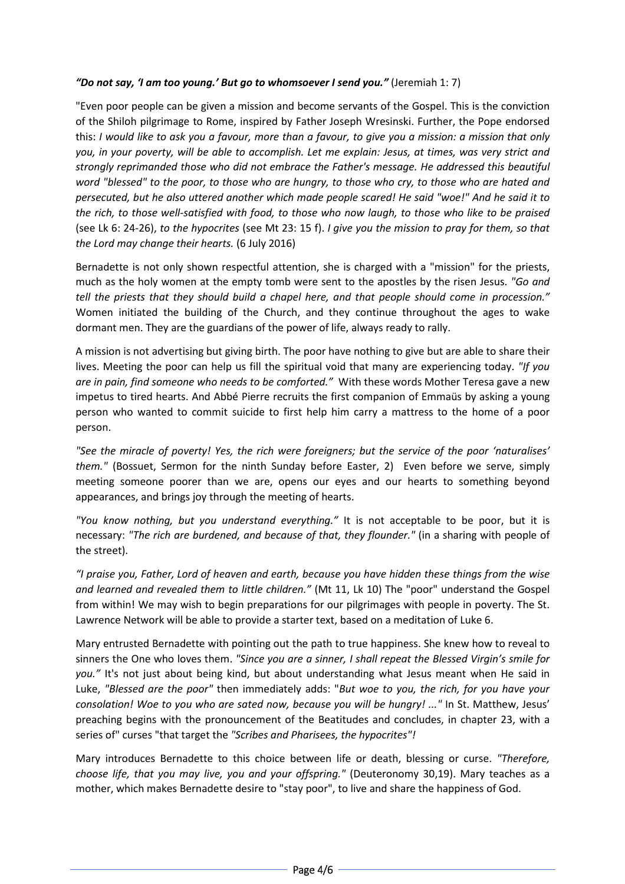#### *"Do not say, 'I am too young.' But go to whomsoever I send you."* (Jeremiah 1: 7)

"Even poor people can be given a mission and become servants of the Gospel. This is the conviction of the Shiloh pilgrimage to Rome, inspired by Father Joseph Wresinski. Further, the Pope endorsed this: *I would like to ask you a favour, more than a favour, to give you a mission: a mission that only you, in your poverty, will be able to accomplish. Let me explain: Jesus, at times, was very strict and strongly reprimanded those who did not embrace the Father's message. He addressed this beautiful word "blessed" to the poor, to those who are hungry, to those who cry, to those who are hated and persecuted, but he also uttered another which made people scared! He said "woe!" And he said it to the rich, to those well-satisfied with food, to those who now laugh, to those who like to be praised*  (see Lk 6: 24-26), *to the hypocrites* (see Mt 23: 15 f). *I give you the mission to pray for them, so that the Lord may change their hearts.* (6 July 2016)

Bernadette is not only shown respectful attention, she is charged with a "mission" for the priests, much as the holy women at the empty tomb were sent to the apostles by the risen Jesus. *"Go and tell the priests that they should build a chapel here, and that people should come in procession."* Women initiated the building of the Church, and they continue throughout the ages to wake dormant men. They are the guardians of the power of life, always ready to rally.

A mission is not advertising but giving birth. The poor have nothing to give but are able to share their lives. Meeting the poor can help us fill the spiritual void that many are experiencing today. *"If you are in pain, find someone who needs to be comforted."* With these words Mother Teresa gave a new impetus to tired hearts. And Abbé Pierre recruits the first companion of Emmaüs by asking a young person who wanted to commit suicide to first help him carry a mattress to the home of a poor person.

*"See the miracle of poverty! Yes, the rich were foreigners; but the service of the poor 'naturalises' them."* (Bossuet, Sermon for the ninth Sunday before Easter, 2) Even before we serve, simply meeting someone poorer than we are, opens our eyes and our hearts to something beyond appearances, and brings joy through the meeting of hearts.

*"You know nothing, but you understand everything."* It is not acceptable to be poor, but it is necessary: *"The rich are burdened, and because of that, they flounder."* (in a sharing with people of the street).

*"I praise you, Father, Lord of heaven and earth, because you have hidden these things from the wise and learned and revealed them to little children."* (Mt 11, Lk 10) The "poor" understand the Gospel from within! We may wish to begin preparations for our pilgrimages with people in poverty. The St. Lawrence Network will be able to provide a starter text, based on a meditation of Luke 6.

Mary entrusted Bernadette with pointing out the path to true happiness. She knew how to reveal to sinners the One who loves them. *"Since you are a sinner, I shall repeat the Blessed Virgin's smile for you."* It's not just about being kind, but about understanding what Jesus meant when He said in Luke, *"Blessed are the poor"* then immediately adds: "*But woe to you, the rich, for you have your consolation! Woe to you who are sated now, because you will be hungry! ..."* In St. Matthew, Jesus' preaching begins with the pronouncement of the Beatitudes and concludes, in chapter 23, with a series of" curses "that target the *"Scribes and Pharisees, the hypocrites"!*

Mary introduces Bernadette to this choice between life or death, blessing or curse. *"Therefore, choose life, that you may live, you and your offspring."* (Deuteronomy 30,19). Mary teaches as a mother, which makes Bernadette desire to "stay poor", to live and share the happiness of God.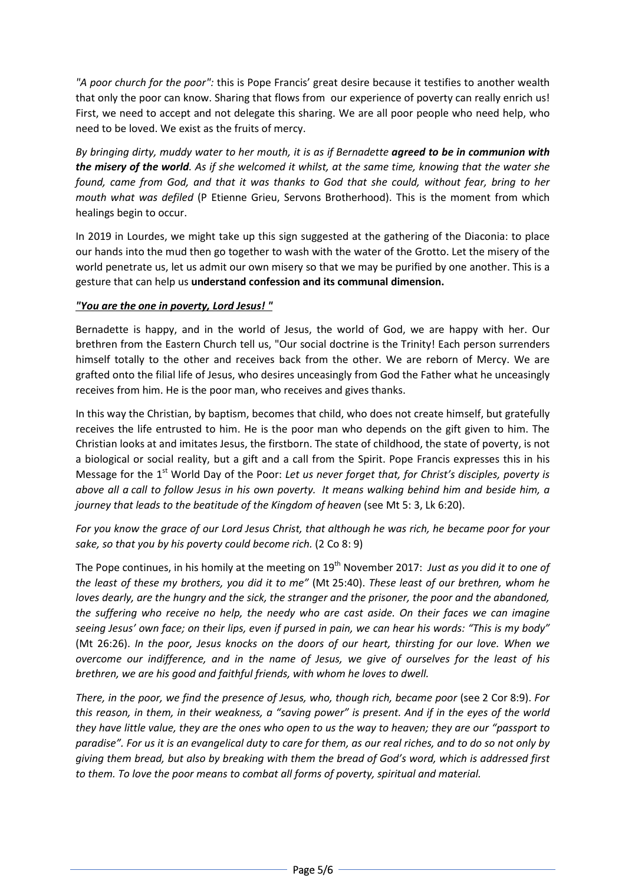*"A poor church for the poor":* this is Pope Francis' great desire because it testifies to another wealth that only the poor can know. Sharing that flows from our experience of poverty can really enrich us! First, we need to accept and not delegate this sharing. We are all poor people who need help, who need to be loved. We exist as the fruits of mercy.

*By bringing dirty, muddy water to her mouth, it is as if Bernadette agreed to be in communion with the misery of the world. As if she welcomed it whilst, at the same time, knowing that the water she found, came from God, and that it was thanks to God that she could, without fear, bring to her mouth what was defiled* (P Etienne Grieu, Servons Brotherhood). This is the moment from which healings begin to occur.

In 2019 in Lourdes, we might take up this sign suggested at the gathering of the Diaconia: to place our hands into the mud then go together to wash with the water of the Grotto. Let the misery of the world penetrate us, let us admit our own misery so that we may be purified by one another. This is a gesture that can help us **understand confession and its communal dimension.**

# *"You are the one in poverty, Lord Jesus! "*

Bernadette is happy, and in the world of Jesus, the world of God, we are happy with her. Our brethren from the Eastern Church tell us, "Our social doctrine is the Trinity! Each person surrenders himself totally to the other and receives back from the other. We are reborn of Mercy. We are grafted onto the filial life of Jesus, who desires unceasingly from God the Father what he unceasingly receives from him. He is the poor man, who receives and gives thanks.

In this way the Christian, by baptism, becomes that child, who does not create himself, but gratefully receives the life entrusted to him. He is the poor man who depends on the gift given to him. The Christian looks at and imitates Jesus, the firstborn. The state of childhood, the state of poverty, is not a biological or social reality, but a gift and a call from the Spirit. Pope Francis expresses this in his Message for the 1<sup>st</sup> World Day of the Poor: Let us never forget that, for Christ's disciples, poverty is *above all a call to follow Jesus in his own poverty. It means walking behind him and beside him, a journey that leads to the beatitude of the Kingdom of heaven* (see Mt 5: 3, Lk 6:20).

*For you know the grace of our Lord Jesus Christ, that although he was rich, he became poor for your sake, so that you by his poverty could become rich.* (2 Co 8: 9)

The Pope continues, in his homily at the meeting on 19<sup>th</sup> November 2017: *Just as you did it to one of the least of these my brothers, you did it to me"* (Mt 25:40). *These least of our brethren, whom he loves dearly, are the hungry and the sick, the stranger and the prisoner, the poor and the abandoned, the suffering who receive no help, the needy who are cast aside. On their faces we can imagine seeing Jesus' own face; on their lips, even if pursed in pain, we can hear his words: "This is my body"*  (Mt 26:26). *In the poor, Jesus knocks on the doors of our heart, thirsting for our love. When we overcome our indifference, and in the name of Jesus, we give of ourselves for the least of his brethren, we are his good and faithful friends, with whom he loves to dwell.*

*There, in the poor, we find the presence of Jesus, who, though rich, became poor* (see 2 Cor 8:9). *For this reason, in them, in their weakness, a "saving power" is present. And if in the eyes of the world they have little value, they are the ones who open to us the way to heaven; they are our "passport to paradise". For us it is an evangelical duty to care for them, as our real riches, and to do so not only by giving them bread, but also by breaking with them the bread of God's word, which is addressed first to them. To love the poor means to combat all forms of poverty, spiritual and material.*